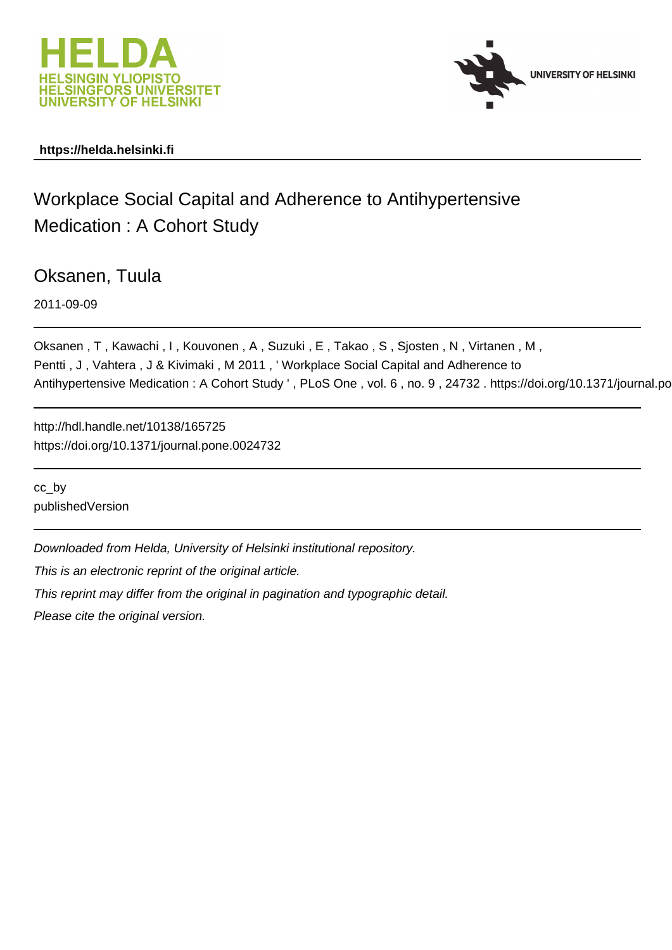



# **https://helda.helsinki.fi**

# Workplace Social Capital and Adherence to Antihypertensive Medication : A Cohort Study

Oksanen, Tuula

2011-09-09

Oksanen , T , Kawachi , I , Kouvonen , A , Suzuki , E , Takao , S , Sjosten , N , Virtanen , M , Pentti, J, Vahtera, J & Kivimaki, M 2011, 'Workplace Social Capital and Adherence to Antihypertensive Medication: A Cohort Study ', PLoS One, vol. 6, no. 9, 24732. https://doi.org/10.1371/journal.po

http://hdl.handle.net/10138/165725 https://doi.org/10.1371/journal.pone.0024732

cc\_by publishedVersion

Downloaded from Helda, University of Helsinki institutional repository.

This is an electronic reprint of the original article.

This reprint may differ from the original in pagination and typographic detail.

Please cite the original version.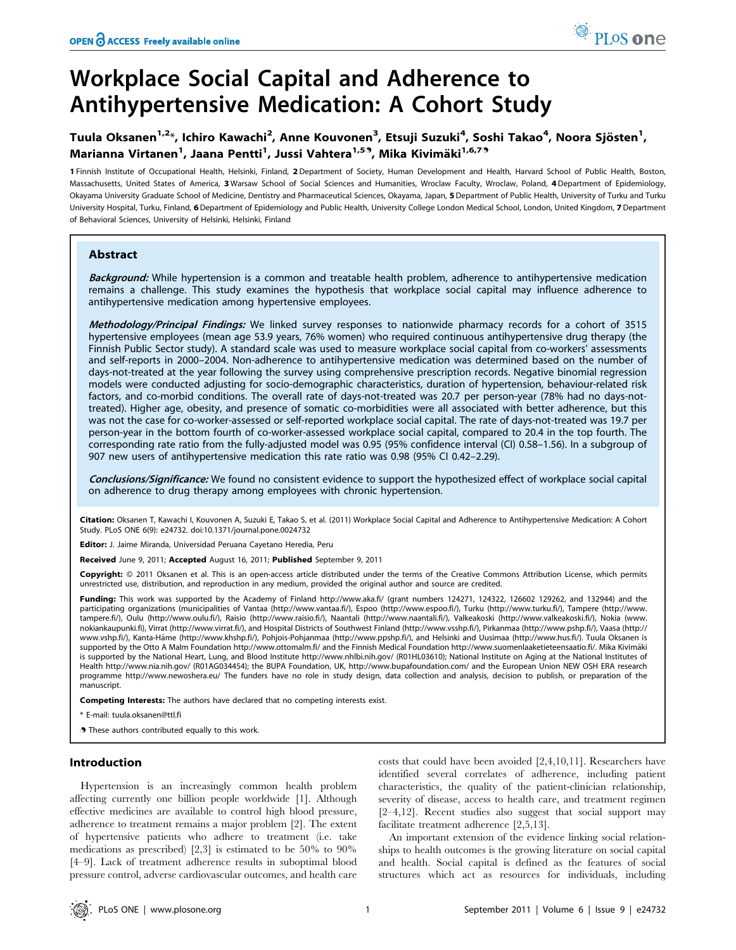# Workplace Social Capital and Adherence to Antihypertensive Medication: A Cohort Study

# Tuula Oksanen<sup>1,2</sup>\*, Ichiro Kawachi<sup>2</sup>, Anne Kouvonen<sup>3</sup>, Etsuji Suzuki<sup>4</sup>, Soshi Takao<sup>4</sup>, Noora Sjösten<sup>1</sup>, Marianna Virtanen<sup>1</sup>, Jaana Pentti<sup>1</sup>, Jussi Vahtera<sup>1,59</sup>, Mika Kivimäki<sup>1,6,79</sup>

1 Finnish Institute of Occupational Health, Helsinki, Finland, 2 Department of Society, Human Development and Health, Harvard School of Public Health, Boston, Massachusetts, United States of America, 3 Warsaw School of Social Sciences and Humanities, Wroclaw Faculty, Wroclaw, Poland, 4Department of Epidemiology, Okayama University Graduate School of Medicine, Dentistry and Pharmaceutical Sciences, Okayama, Japan, 5 Department of Public Health, University of Turku and Turku University Hospital, Turku, Finland, 6 Department of Epidemiology and Public Health, University College London Medical School, London, United Kingdom, 7 Department of Behavioral Sciences, University of Helsinki, Helsinki, Finland

# **Abstract**

Background: While hypertension is a common and treatable health problem, adherence to antihypertensive medication remains a challenge. This study examines the hypothesis that workplace social capital may influence adherence to antihypertensive medication among hypertensive employees.

Methodology/Principal Findings: We linked survey responses to nationwide pharmacy records for a cohort of 3515 hypertensive employees (mean age 53.9 years, 76% women) who required continuous antihypertensive drug therapy (the Finnish Public Sector study). A standard scale was used to measure workplace social capital from co-workers' assessments and self-reports in 2000–2004. Non-adherence to antihypertensive medication was determined based on the number of days-not-treated at the year following the survey using comprehensive prescription records. Negative binomial regression models were conducted adjusting for socio-demographic characteristics, duration of hypertension, behaviour-related risk factors, and co-morbid conditions. The overall rate of days-not-treated was 20.7 per person-year (78% had no days-nottreated). Higher age, obesity, and presence of somatic co-morbidities were all associated with better adherence, but this was not the case for co-worker-assessed or self-reported workplace social capital. The rate of days-not-treated was 19.7 per person-year in the bottom fourth of co-worker-assessed workplace social capital, compared to 20.4 in the top fourth. The corresponding rate ratio from the fully-adjusted model was 0.95 (95% confidence interval (CI) 0.58–1.56). In a subgroup of 907 new users of antihypertensive medication this rate ratio was 0.98 (95% CI 0.42–2.29).

Conclusions/Significance: We found no consistent evidence to support the hypothesized effect of workplace social capital on adherence to drug therapy among employees with chronic hypertension.

Citation: Oksanen T, Kawachi I, Kouvonen A, Suzuki E, Takao S, et al. (2011) Workplace Social Capital and Adherence to Antihypertensive Medication: A Cohort Study. PLoS ONE 6(9): e24732. doi:10.1371/journal.pone.0024732

Editor: J. Jaime Miranda, Universidad Peruana Cayetano Heredia, Peru

Received June 9, 2011; Accepted August 16, 2011; Published September 9, 2011

Copyright: © 2011 Oksanen et al. This is an open-access article distributed under the terms of the Creative Commons Attribution License, which permits unrestricted use, distribution, and reproduction in any medium, provided the original author and source are credited.

Funding: This work was supported by the Academy of Finland http://www.aka.fi/ (grant numbers 124271, 124322, 126602 129262, and 132944) and the participating organizations (municipalities of Vantaa (http://www.vantaa.fi/), Espoo (http://www.espoo.fi/), Turku (http://www.turku.fi/), Tampere (http://www. tampere.fi/), Oulu (http://www.oulu.fi/), Raisio (http://www.raisio.fi/), Naantali (http://www.naantali.fi/), Valkeakoski (http://www.valkeakoski.fi/), Nokia (www. nokiankaupunki.fi), Virrat (http://www.virrat.fi/), and Hospital Districts of Southwest Finland (http://www.vsshp.fi/), Pirkanmaa (http://www.pshp.fi/), Vaasa (http:// www.vshp.fi/), Kanta-Häme (http://www.khshp.fi/), Pohjois-Pohjanmaa (http://www.ppshp.fi/), and Helsinki and Uusimaa (http://www.hus.fi/). Tuula Oksanen is supported by the Otto A Malm Foundation http://www.ottomalm.fi/ and the Finnish Medical Foundation http://www.suomenlaaketieteensaatio.fi/. Mika Kivimäki is supported by the National Heart, Lung, and Blood Institute http://www.nhlbi.nih.gov/ (R01HL03610); National Institute on Aging at the National Institutes of Health http://www.nia.nih.gov/ (R01AG034454); the BUPA Foundation, UK, http://www.bupafoundation.com/ and the European Union NEW OSH ERA research programme http://www.newoshera.eu/ The funders have no role in study design, data collection and analysis, decision to publish, or preparation of the manuscript.

Competing Interests: The authors have declared that no competing interests exist.

E-mail: tuula.oksanen@ttl.fi

. These authors contributed equally to this work.

## Introduction

Hypertension is an increasingly common health problem affecting currently one billion people worldwide [1]. Although effective medicines are available to control high blood pressure, adherence to treatment remains a major problem [2]. The extent of hypertensive patients who adhere to treatment (i.e. take medications as prescribed) [2,3] is estimated to be 50% to 90% [4–9]. Lack of treatment adherence results in suboptimal blood pressure control, adverse cardiovascular outcomes, and health care costs that could have been avoided [2,4,10,11]. Researchers have identified several correlates of adherence, including patient characteristics, the quality of the patient-clinician relationship, severity of disease, access to health care, and treatment regimen [2–4,12]. Recent studies also suggest that social support may facilitate treatment adherence [2,5,13].

An important extension of the evidence linking social relationships to health outcomes is the growing literature on social capital and health. Social capital is defined as the features of social structures which act as resources for individuals, including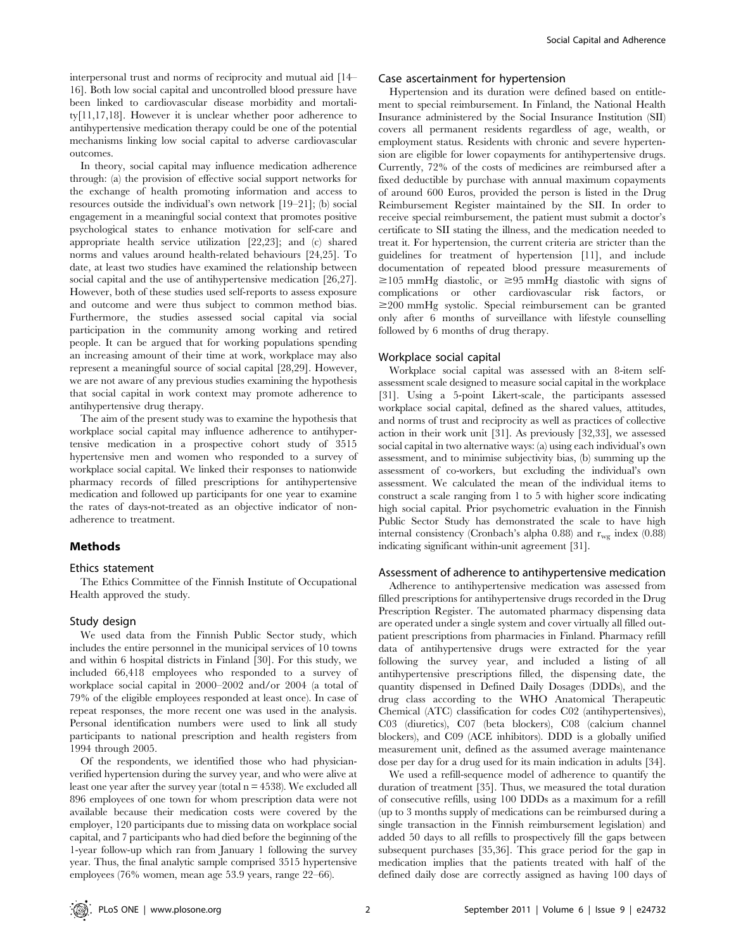interpersonal trust and norms of reciprocity and mutual aid [14– 16]. Both low social capital and uncontrolled blood pressure have been linked to cardiovascular disease morbidity and mortality[11,17,18]. However it is unclear whether poor adherence to antihypertensive medication therapy could be one of the potential mechanisms linking low social capital to adverse cardiovascular outcomes.

In theory, social capital may influence medication adherence through: (a) the provision of effective social support networks for the exchange of health promoting information and access to resources outside the individual's own network [19–21]; (b) social engagement in a meaningful social context that promotes positive psychological states to enhance motivation for self-care and appropriate health service utilization [22,23]; and (c) shared norms and values around health-related behaviours [24,25]. To date, at least two studies have examined the relationship between social capital and the use of antihypertensive medication [26,27]. However, both of these studies used self-reports to assess exposure and outcome and were thus subject to common method bias. Furthermore, the studies assessed social capital via social participation in the community among working and retired people. It can be argued that for working populations spending an increasing amount of their time at work, workplace may also represent a meaningful source of social capital [28,29]. However, we are not aware of any previous studies examining the hypothesis that social capital in work context may promote adherence to antihypertensive drug therapy.

The aim of the present study was to examine the hypothesis that workplace social capital may influence adherence to antihypertensive medication in a prospective cohort study of 3515 hypertensive men and women who responded to a survey of workplace social capital. We linked their responses to nationwide pharmacy records of filled prescriptions for antihypertensive medication and followed up participants for one year to examine the rates of days-not-treated as an objective indicator of nonadherence to treatment.

# Methods

#### Ethics statement

The Ethics Committee of the Finnish Institute of Occupational Health approved the study.

## Study design

We used data from the Finnish Public Sector study, which includes the entire personnel in the municipal services of 10 towns and within 6 hospital districts in Finland [30]. For this study, we included 66,418 employees who responded to a survey of workplace social capital in 2000–2002 and/or 2004 (a total of 79% of the eligible employees responded at least once). In case of repeat responses, the more recent one was used in the analysis. Personal identification numbers were used to link all study participants to national prescription and health registers from 1994 through 2005.

Of the respondents, we identified those who had physicianverified hypertension during the survey year, and who were alive at least one year after the survey year (total  $n = 4538$ ). We excluded all 896 employees of one town for whom prescription data were not available because their medication costs were covered by the employer, 120 participants due to missing data on workplace social capital, and 7 participants who had died before the beginning of the 1-year follow-up which ran from January 1 following the survey year. Thus, the final analytic sample comprised 3515 hypertensive employees (76% women, mean age 53.9 years, range 22–66).

## Case ascertainment for hypertension

Hypertension and its duration were defined based on entitlement to special reimbursement. In Finland, the National Health Insurance administered by the Social Insurance Institution (SII) covers all permanent residents regardless of age, wealth, or employment status. Residents with chronic and severe hypertension are eligible for lower copayments for antihypertensive drugs. Currently, 72% of the costs of medicines are reimbursed after a fixed deductible by purchase with annual maximum copayments of around 600 Euros, provided the person is listed in the Drug Reimbursement Register maintained by the SII. In order to receive special reimbursement, the patient must submit a doctor's certificate to SII stating the illness, and the medication needed to treat it. For hypertension, the current criteria are stricter than the guidelines for treatment of hypertension [11], and include documentation of repeated blood pressure measurements of  $\geq$ 105 mmHg diastolic, or  $\geq$ 95 mmHg diastolic with signs of complications or other cardiovascular risk factors, or  $\geq$ 200 mmHg systolic. Special reimbursement can be granted only after 6 months of surveillance with lifestyle counselling followed by 6 months of drug therapy.

#### Workplace social capital

Workplace social capital was assessed with an 8-item selfassessment scale designed to measure social capital in the workplace [31]. Using a 5-point Likert-scale, the participants assessed workplace social capital, defined as the shared values, attitudes, and norms of trust and reciprocity as well as practices of collective action in their work unit [31]. As previously [32,33], we assessed social capital in two alternative ways: (a) using each individual's own assessment, and to minimise subjectivity bias, (b) summing up the assessment of co-workers, but excluding the individual's own assessment. We calculated the mean of the individual items to construct a scale ranging from 1 to 5 with higher score indicating high social capital. Prior psychometric evaluation in the Finnish Public Sector Study has demonstrated the scale to have high internal consistency (Cronbach's alpha 0.88) and  $r_{wg}$  index (0.88) indicating significant within-unit agreement [31].

#### Assessment of adherence to antihypertensive medication

Adherence to antihypertensive medication was assessed from filled prescriptions for antihypertensive drugs recorded in the Drug Prescription Register. The automated pharmacy dispensing data are operated under a single system and cover virtually all filled outpatient prescriptions from pharmacies in Finland. Pharmacy refill data of antihypertensive drugs were extracted for the year following the survey year, and included a listing of all antihypertensive prescriptions filled, the dispensing date, the quantity dispensed in Defined Daily Dosages (DDDs), and the drug class according to the WHO Anatomical Therapeutic Chemical (ATC) classification for codes C02 (antihypertensives), C03 (diuretics), C07 (beta blockers), C08 (calcium channel blockers), and C09 (ACE inhibitors). DDD is a globally unified measurement unit, defined as the assumed average maintenance dose per day for a drug used for its main indication in adults [34].

We used a refill-sequence model of adherence to quantify the duration of treatment [35]. Thus, we measured the total duration of consecutive refills, using 100 DDDs as a maximum for a refill (up to 3 months supply of medications can be reimbursed during a single transaction in the Finnish reimbursement legislation) and added 50 days to all refills to prospectively fill the gaps between subsequent purchases [35,36]. This grace period for the gap in medication implies that the patients treated with half of the defined daily dose are correctly assigned as having 100 days of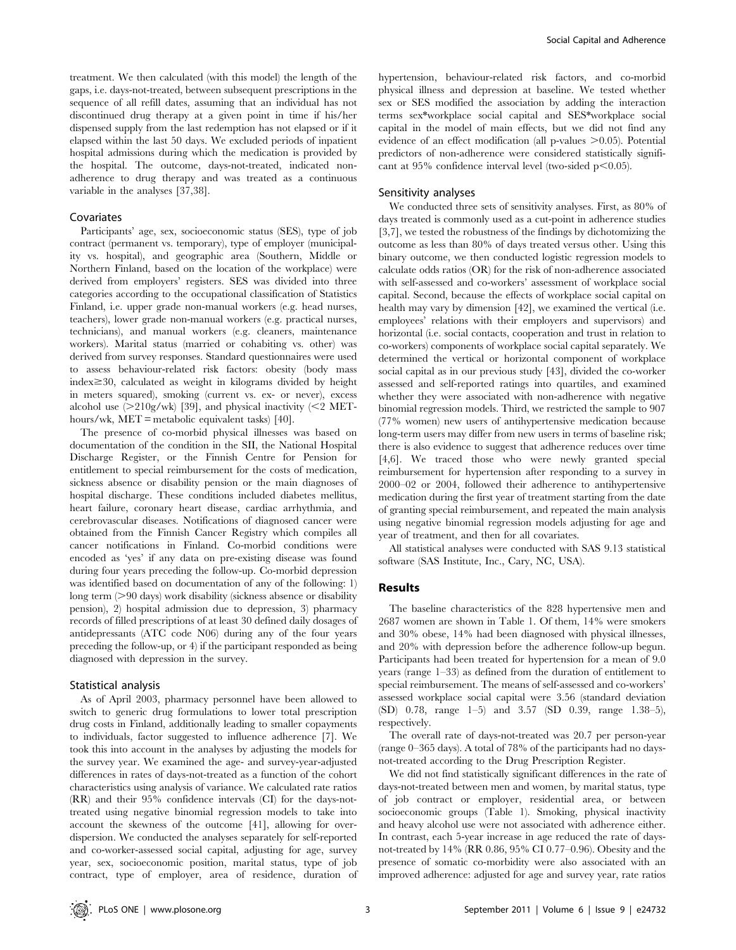treatment. We then calculated (with this model) the length of the gaps, i.e. days-not-treated, between subsequent prescriptions in the sequence of all refill dates, assuming that an individual has not discontinued drug therapy at a given point in time if his/her dispensed supply from the last redemption has not elapsed or if it elapsed within the last 50 days. We excluded periods of inpatient hospital admissions during which the medication is provided by the hospital. The outcome, days-not-treated, indicated nonadherence to drug therapy and was treated as a continuous variable in the analyses [37,38].

## Covariates

Participants' age, sex, socioeconomic status (SES), type of job contract (permanent vs. temporary), type of employer (municipality vs. hospital), and geographic area (Southern, Middle or Northern Finland, based on the location of the workplace) were derived from employers' registers. SES was divided into three categories according to the occupational classification of Statistics Finland, i.e. upper grade non-manual workers (e.g. head nurses, teachers), lower grade non-manual workers (e.g. practical nurses, technicians), and manual workers (e.g. cleaners, maintenance workers). Marital status (married or cohabiting vs. other) was derived from survey responses. Standard questionnaires were used to assess behaviour-related risk factors: obesity (body mass index $\geq$ 30, calculated as weight in kilograms divided by height in meters squared), smoking (current vs. ex- or never), excess alcohol use  $(>210g/wk)$  [39], and physical inactivity ( $\leq$ 2 METhours/wk, MET = metabolic equivalent tasks) [40].

The presence of co-morbid physical illnesses was based on documentation of the condition in the SII, the National Hospital Discharge Register, or the Finnish Centre for Pension for entitlement to special reimbursement for the costs of medication, sickness absence or disability pension or the main diagnoses of hospital discharge. These conditions included diabetes mellitus, heart failure, coronary heart disease, cardiac arrhythmia, and cerebrovascular diseases. Notifications of diagnosed cancer were obtained from the Finnish Cancer Registry which compiles all cancer notifications in Finland. Co-morbid conditions were encoded as 'yes' if any data on pre-existing disease was found during four years preceding the follow-up. Co-morbid depression was identified based on documentation of any of the following: 1) long term (>90 days) work disability (sickness absence or disability pension), 2) hospital admission due to depression, 3) pharmacy records of filled prescriptions of at least 30 defined daily dosages of antidepressants (ATC code N06) during any of the four years preceding the follow-up, or 4) if the participant responded as being diagnosed with depression in the survey.

#### Statistical analysis

As of April 2003, pharmacy personnel have been allowed to switch to generic drug formulations to lower total prescription drug costs in Finland, additionally leading to smaller copayments to individuals, factor suggested to influence adherence [7]. We took this into account in the analyses by adjusting the models for the survey year. We examined the age- and survey-year-adjusted differences in rates of days-not-treated as a function of the cohort characteristics using analysis of variance. We calculated rate ratios (RR) and their 95% confidence intervals (CI) for the days-nottreated using negative binomial regression models to take into account the skewness of the outcome [41], allowing for overdispersion. We conducted the analyses separately for self-reported and co-worker-assessed social capital, adjusting for age, survey year, sex, socioeconomic position, marital status, type of job contract, type of employer, area of residence, duration of hypertension, behaviour-related risk factors, and co-morbid physical illness and depression at baseline. We tested whether sex or SES modified the association by adding the interaction terms sex\*workplace social capital and SES\*workplace social capital in the model of main effects, but we did not find any evidence of an effect modification (all p-values  $>0.05$ ). Potential predictors of non-adherence were considered statistically significant at  $95\%$  confidence interval level (two-sided p $\leq 0.05$ ).

#### Sensitivity analyses

We conducted three sets of sensitivity analyses. First, as 80% of days treated is commonly used as a cut-point in adherence studies [3,7], we tested the robustness of the findings by dichotomizing the outcome as less than 80% of days treated versus other. Using this binary outcome, we then conducted logistic regression models to calculate odds ratios (OR) for the risk of non-adherence associated with self-assessed and co-workers' assessment of workplace social capital. Second, because the effects of workplace social capital on health may vary by dimension [42], we examined the vertical (i.e. employees' relations with their employers and supervisors) and horizontal (i.e. social contacts, cooperation and trust in relation to co-workers) components of workplace social capital separately. We determined the vertical or horizontal component of workplace social capital as in our previous study [43], divided the co-worker assessed and self-reported ratings into quartiles, and examined whether they were associated with non-adherence with negative binomial regression models. Third, we restricted the sample to 907 (77% women) new users of antihypertensive medication because long-term users may differ from new users in terms of baseline risk; there is also evidence to suggest that adherence reduces over time [4,6]. We traced those who were newly granted special reimbursement for hypertension after responding to a survey in 2000–02 or 2004, followed their adherence to antihypertensive medication during the first year of treatment starting from the date of granting special reimbursement, and repeated the main analysis using negative binomial regression models adjusting for age and year of treatment, and then for all covariates.

All statistical analyses were conducted with SAS 9.13 statistical software (SAS Institute, Inc., Cary, NC, USA).

#### Results

The baseline characteristics of the 828 hypertensive men and 2687 women are shown in Table 1. Of them, 14% were smokers and 30% obese, 14% had been diagnosed with physical illnesses, and 20% with depression before the adherence follow-up begun. Participants had been treated for hypertension for a mean of 9.0 years (range 1–33) as defined from the duration of entitlement to special reimbursement. The means of self-assessed and co-workers' assessed workplace social capital were 3.56 (standard deviation (SD) 0.78, range 1–5) and 3.57 (SD 0.39, range 1.38–5), respectively.

The overall rate of days-not-treated was 20.7 per person-year (range 0–365 days). A total of 78% of the participants had no daysnot-treated according to the Drug Prescription Register.

We did not find statistically significant differences in the rate of days-not-treated between men and women, by marital status, type of job contract or employer, residential area, or between socioeconomic groups (Table 1). Smoking, physical inactivity and heavy alcohol use were not associated with adherence either. In contrast, each 5-year increase in age reduced the rate of daysnot-treated by 14% (RR 0.86, 95% CI 0.77–0.96). Obesity and the presence of somatic co-morbidity were also associated with an improved adherence: adjusted for age and survey year, rate ratios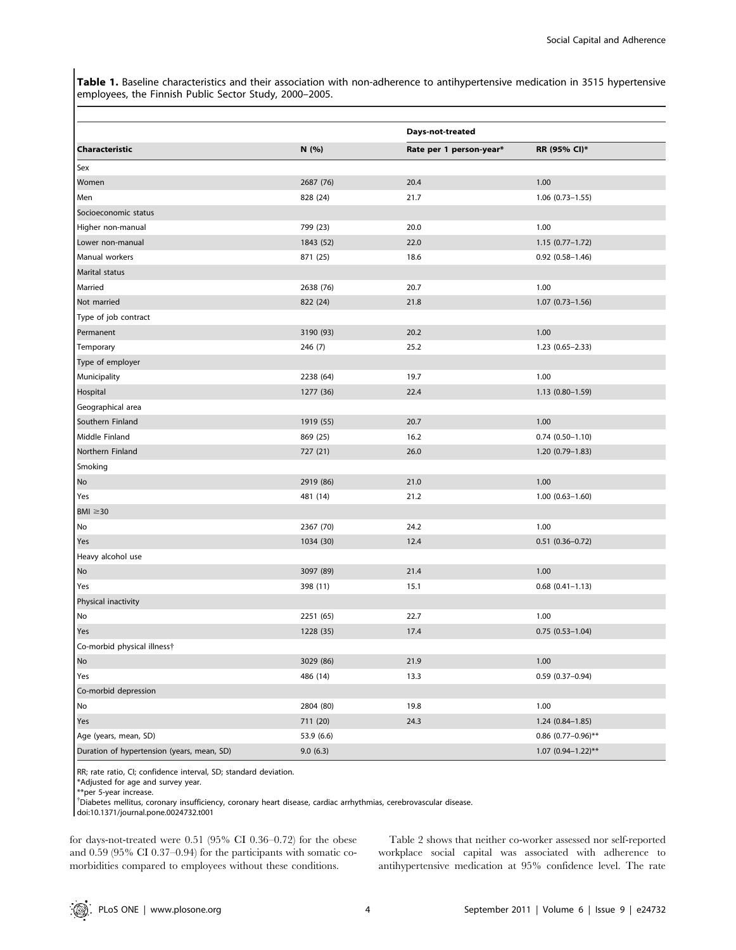Table 1. Baseline characteristics and their association with non-adherence to antihypertensive medication in 3515 hypertensive employees, the Finnish Public Sector Study, 2000–2005.

|                                            |            | Days-not-treated        |                         |  |
|--------------------------------------------|------------|-------------------------|-------------------------|--|
| <b>Characteristic</b>                      | N (%)      | Rate per 1 person-year* | RR (95% CI)*            |  |
| Sex                                        |            |                         |                         |  |
| Women                                      | 2687 (76)  | 20.4                    | 1.00                    |  |
| Men                                        | 828 (24)   | 21.7                    | $1.06$ $(0.73-1.55)$    |  |
| Socioeconomic status                       |            |                         |                         |  |
| Higher non-manual                          | 799 (23)   | 20.0                    | 1.00                    |  |
| Lower non-manual                           | 1843 (52)  | 22.0                    | $1.15(0.77 - 1.72)$     |  |
| Manual workers                             | 871 (25)   | 18.6                    | $0.92(0.58 - 1.46)$     |  |
| Marital status                             |            |                         |                         |  |
| Married                                    | 2638 (76)  | 20.7                    | 1.00                    |  |
| Not married                                | 822 (24)   | 21.8                    | $1.07(0.73 - 1.56)$     |  |
| Type of job contract                       |            |                         |                         |  |
| Permanent                                  | 3190 (93)  | 20.2                    | 1.00                    |  |
| Temporary                                  | 246 (7)    | 25.2                    | $1.23(0.65 - 2.33)$     |  |
| Type of employer                           |            |                         |                         |  |
| Municipality                               | 2238 (64)  | 19.7                    | 1.00                    |  |
| Hospital                                   | 1277 (36)  | 22.4                    | 1.13 (0.80-1.59)        |  |
| Geographical area                          |            |                         |                         |  |
| Southern Finland                           | 1919 (55)  | 20.7                    | 1.00                    |  |
| Middle Finland                             | 869 (25)   | 16.2                    | $0.74(0.50 - 1.10)$     |  |
| Northern Finland                           | 727 (21)   | 26.0                    | 1.20 (0.79-1.83)        |  |
| Smoking                                    |            |                         |                         |  |
| No                                         | 2919 (86)  | 21.0                    | 1.00                    |  |
| Yes                                        | 481 (14)   | 21.2                    | $1.00(0.63 - 1.60)$     |  |
| BMI $\geq$ 30                              |            |                         |                         |  |
| No                                         | 2367 (70)  | 24.2                    | 1.00                    |  |
| Yes                                        | 1034 (30)  | 12.4                    | $0.51$ $(0.36 - 0.72)$  |  |
| Heavy alcohol use                          |            |                         |                         |  |
| No                                         | 3097 (89)  | 21.4                    | 1.00                    |  |
| Yes                                        | 398 (11)   | 15.1                    | $0.68$ $(0.41 - 1.13)$  |  |
| Physical inactivity                        |            |                         |                         |  |
| No                                         | 2251 (65)  | 22.7                    | 1.00                    |  |
| Yes                                        | 1228 (35)  | 17.4                    | $0.75(0.53 - 1.04)$     |  |
| Co-morbid physical illness†                |            |                         |                         |  |
| No                                         | 3029 (86)  | 21.9                    | $1.00$                  |  |
| Yes                                        | 486 (14)   | 13.3                    | $0.59(0.37-0.94)$       |  |
| Co-morbid depression                       |            |                         |                         |  |
| No                                         | 2804 (80)  | 19.8                    | 1.00                    |  |
| Yes                                        | 711 (20)   | 24.3                    | $1.24(0.84 - 1.85)$     |  |
| Age (years, mean, SD)                      | 53.9 (6.6) |                         | $0.86$ (0.77-0.96)**    |  |
| Duration of hypertension (years, mean, SD) | 9.0(6.3)   |                         | $1.07 (0.94 - 1.22)$ ** |  |

RR; rate ratio, CI; confidence interval, SD; standard deviation.

\*Adjusted for age and survey year.

\*\*per 5-year increase.

{ Diabetes mellitus, coronary insufficiency, coronary heart disease, cardiac arrhythmias, cerebrovascular disease.

doi:10.1371/journal.pone.0024732.t001

for days-not-treated were 0.51 (95% CI 0.36–0.72) for the obese and 0.59 (95% CI 0.37–0.94) for the participants with somatic comorbidities compared to employees without these conditions.

Table 2 shows that neither co-worker assessed nor self-reported workplace social capital was associated with adherence to antihypertensive medication at 95% confidence level. The rate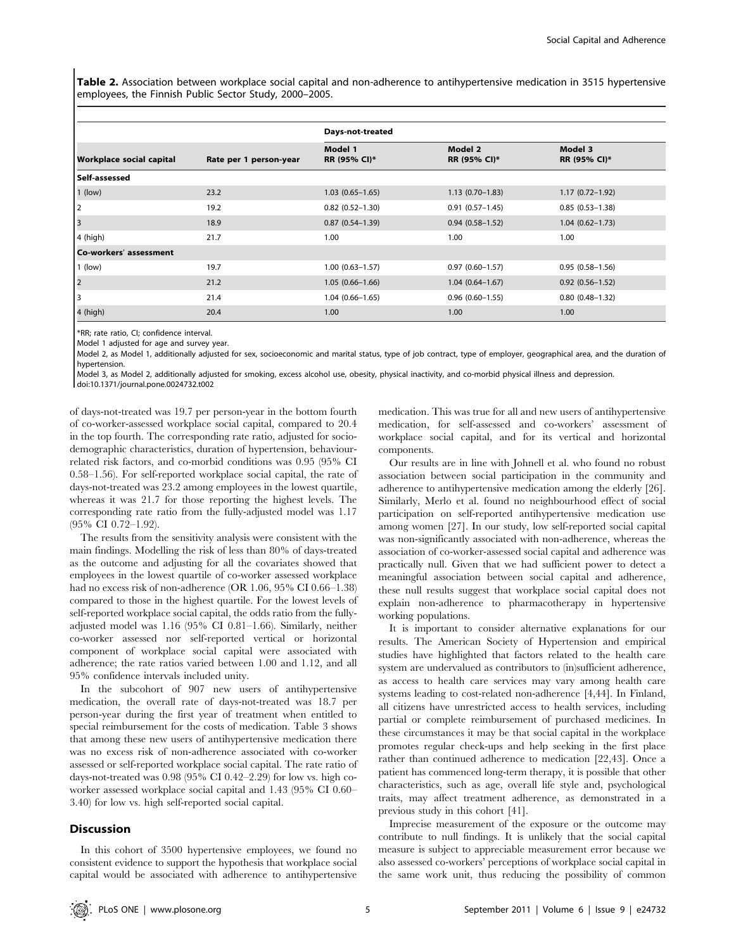Table 2. Association between workplace social capital and non-adherence to antihypertensive medication in 3515 hypertensive employees, the Finnish Public Sector Study, 2000–2005.

|                                 |                        | Days-not-treated        |                         |                         |
|---------------------------------|------------------------|-------------------------|-------------------------|-------------------------|
| <b>Workplace social capital</b> | Rate per 1 person-year | Model 1<br>RR (95% CI)* | Model 2<br>RR (95% CI)* | Model 3<br>RR (95% CI)* |
| l Self-assessed                 |                        |                         |                         |                         |
| $1$ (low)                       | 23.2                   | $1.03(0.65 - 1.65)$     | $1.13(0.70-1.83)$       | $1.17(0.72 - 1.92)$     |
| 2                               | 19.2                   | $0.82(0.52 - 1.30)$     | $0.91(0.57 - 1.45)$     | $0.85(0.53 - 1.38)$     |
| 3                               | 18.9                   | $0.87(0.54 - 1.39)$     | $0.94(0.58 - 1.52)$     | $1.04(0.62 - 1.73)$     |
| 4 (high)                        | 21.7                   | 1.00                    | 1.00                    | 1.00                    |
| Co-workers' assessment          |                        |                         |                         |                         |
| $\vert$ 1 (low)                 | 19.7                   | $1.00(0.63 - 1.57)$     | $0.97(0.60 - 1.57)$     | $0.95(0.58 - 1.56)$     |
| 2                               | 21.2                   | $1.05(0.66 - 1.66)$     | $1.04(0.64 - 1.67)$     | $0.92(0.56 - 1.52)$     |
| 3                               | 21.4                   | $1.04(0.66 - 1.65)$     | $0.96(0.60 - 1.55)$     | $0.80(0.48 - 1.32)$     |
| 4 (high)                        | 20.4                   | 1.00                    | 1.00                    | 1.00                    |

\*RR; rate ratio, CI; confidence interval.

Model 1 adjusted for age and survey year.

Model 2, as Model 1, additionally adjusted for sex, socioeconomic and marital status, type of job contract, type of employer, geographical area, and the duration of hypertension.

Model 3, as Model 2, additionally adjusted for smoking, excess alcohol use, obesity, physical inactivity, and co-morbid physical illness and depression.

doi:10.1371/journal.pone.0024732.t002

of days-not-treated was 19.7 per person-year in the bottom fourth of co-worker-assessed workplace social capital, compared to 20.4 in the top fourth. The corresponding rate ratio, adjusted for sociodemographic characteristics, duration of hypertension, behaviourrelated risk factors, and co-morbid conditions was 0.95 (95% CI 0.58–1.56). For self-reported workplace social capital, the rate of days-not-treated was 23.2 among employees in the lowest quartile, whereas it was 21.7 for those reporting the highest levels. The corresponding rate ratio from the fully-adjusted model was 1.17 (95% CI 0.72–1.92).

The results from the sensitivity analysis were consistent with the main findings. Modelling the risk of less than 80% of days-treated as the outcome and adjusting for all the covariates showed that employees in the lowest quartile of co-worker assessed workplace had no excess risk of non-adherence (OR 1.06, 95% CI 0.66–1.38) compared to those in the highest quartile. For the lowest levels of self-reported workplace social capital, the odds ratio from the fullyadjusted model was 1.16 (95% CI 0.81–1.66). Similarly, neither co-worker assessed nor self-reported vertical or horizontal component of workplace social capital were associated with adherence; the rate ratios varied between 1.00 and 1.12, and all 95% confidence intervals included unity.

In the subcohort of 907 new users of antihypertensive medication, the overall rate of days-not-treated was 18.7 per person-year during the first year of treatment when entitled to special reimbursement for the costs of medication. Table 3 shows that among these new users of antihypertensive medication there was no excess risk of non-adherence associated with co-worker assessed or self-reported workplace social capital. The rate ratio of days-not-treated was 0.98 (95% CI 0.42–2.29) for low vs. high coworker assessed workplace social capital and 1.43 (95% CI 0.60– 3.40) for low vs. high self-reported social capital.

#### **Discussion**

In this cohort of 3500 hypertensive employees, we found no consistent evidence to support the hypothesis that workplace social capital would be associated with adherence to antihypertensive

medication. This was true for all and new users of antihypertensive medication, for self-assessed and co-workers' assessment of workplace social capital, and for its vertical and horizontal components.

Our results are in line with Johnell et al. who found no robust association between social participation in the community and adherence to antihypertensive medication among the elderly [26]. Similarly, Merlo et al. found no neighbourhood effect of social participation on self-reported antihypertensive medication use among women [27]. In our study, low self-reported social capital was non-significantly associated with non-adherence, whereas the association of co-worker-assessed social capital and adherence was practically null. Given that we had sufficient power to detect a meaningful association between social capital and adherence, these null results suggest that workplace social capital does not explain non-adherence to pharmacotherapy in hypertensive working populations.

It is important to consider alternative explanations for our results. The American Society of Hypertension and empirical studies have highlighted that factors related to the health care system are undervalued as contributors to (in)sufficient adherence, as access to health care services may vary among health care systems leading to cost-related non-adherence [4,44]. In Finland, all citizens have unrestricted access to health services, including partial or complete reimbursement of purchased medicines. In these circumstances it may be that social capital in the workplace promotes regular check-ups and help seeking in the first place rather than continued adherence to medication [22,43]. Once a patient has commenced long-term therapy, it is possible that other characteristics, such as age, overall life style and, psychological traits, may affect treatment adherence, as demonstrated in a previous study in this cohort [41].

Imprecise measurement of the exposure or the outcome may contribute to null findings. It is unlikely that the social capital measure is subject to appreciable measurement error because we also assessed co-workers' perceptions of workplace social capital in the same work unit, thus reducing the possibility of common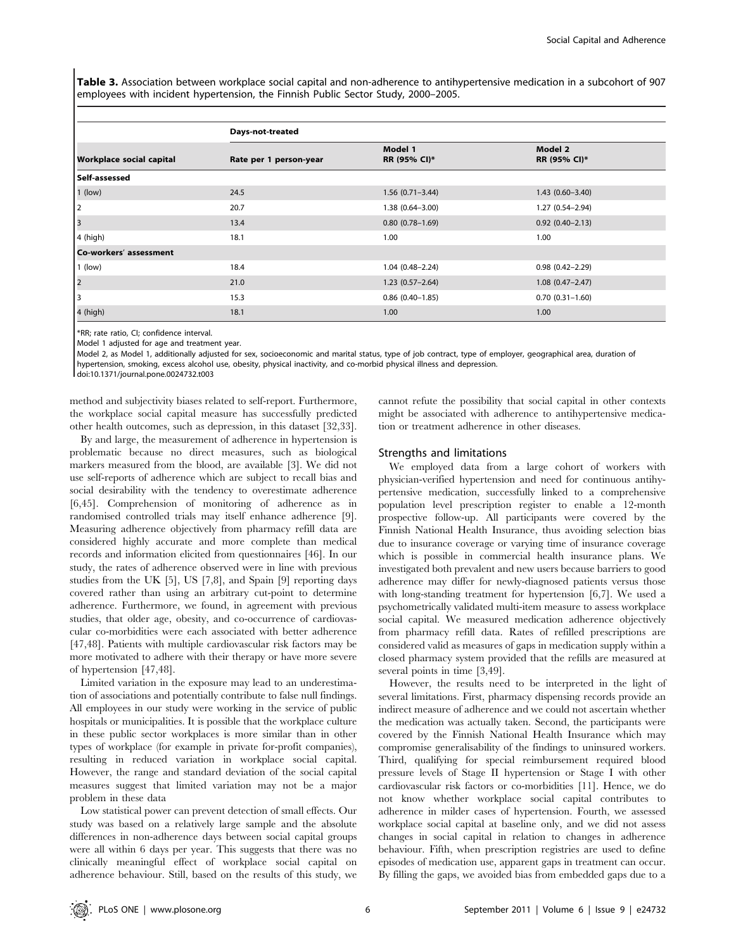Table 3. Association between workplace social capital and non-adherence to antihypertensive medication in a subcohort of 907 employees with incident hypertension, the Finnish Public Sector Study, 2000–2005.

|                                 | Days-not-treated       |                         |                         |  |  |
|---------------------------------|------------------------|-------------------------|-------------------------|--|--|
| <b>Workplace social capital</b> | Rate per 1 person-year | Model 1<br>RR (95% CI)* | Model 2<br>RR (95% CI)* |  |  |
| Self-assessed                   |                        |                         |                         |  |  |
| $1$ (low)                       | 24.5                   | $1.56(0.71 - 3.44)$     | $1.43(0.60 - 3.40)$     |  |  |
| 2                               | 20.7                   | $1.38(0.64 - 3.00)$     | $1.27(0.54 - 2.94)$     |  |  |
| 3                               | 13.4                   | $0.80(0.78 - 1.69)$     | $0.92(0.40 - 2.13)$     |  |  |
| $4$ (high)                      | 18.1                   | 1.00                    | 1.00                    |  |  |
| Co-workers' assessment          |                        |                         |                         |  |  |
| $1$ (low)                       | 18.4                   | $1.04(0.48 - 2.24)$     | $0.98(0.42 - 2.29)$     |  |  |
| $\vert$ <sub>2</sub>            | 21.0                   | $1.23(0.57-2.64)$       | $1.08(0.47 - 2.47)$     |  |  |
| 3                               | 15.3                   | $0.86$ $(0.40-1.85)$    | $0.70(0.31 - 1.60)$     |  |  |
| $4$ (high)                      | 18.1                   | 1.00                    | 1.00                    |  |  |

\*RR; rate ratio, CI; confidence interval.

Model 1 adjusted for age and treatment year.

Model 2, as Model 1, additionally adjusted for sex, socioeconomic and marital status, type of job contract, type of employer, geographical area, duration of hypertension, smoking, excess alcohol use, obesity, physical inactivity, and co-morbid physical illness and depression.

doi:10.1371/journal.pone.0024732.t003

method and subjectivity biases related to self-report. Furthermore, the workplace social capital measure has successfully predicted other health outcomes, such as depression, in this dataset [32,33].

By and large, the measurement of adherence in hypertension is problematic because no direct measures, such as biological markers measured from the blood, are available [3]. We did not use self-reports of adherence which are subject to recall bias and social desirability with the tendency to overestimate adherence [6,45]. Comprehension of monitoring of adherence as in randomised controlled trials may itself enhance adherence [9]. Measuring adherence objectively from pharmacy refill data are considered highly accurate and more complete than medical records and information elicited from questionnaires [46]. In our study, the rates of adherence observed were in line with previous studies from the UK [5], US [7,8], and Spain [9] reporting days covered rather than using an arbitrary cut-point to determine adherence. Furthermore, we found, in agreement with previous studies, that older age, obesity, and co-occurrence of cardiovascular co-morbidities were each associated with better adherence [47,48]. Patients with multiple cardiovascular risk factors may be more motivated to adhere with their therapy or have more severe of hypertension [47,48].

Limited variation in the exposure may lead to an underestimation of associations and potentially contribute to false null findings. All employees in our study were working in the service of public hospitals or municipalities. It is possible that the workplace culture in these public sector workplaces is more similar than in other types of workplace (for example in private for-profit companies), resulting in reduced variation in workplace social capital. However, the range and standard deviation of the social capital measures suggest that limited variation may not be a major problem in these data

Low statistical power can prevent detection of small effects. Our study was based on a relatively large sample and the absolute differences in non-adherence days between social capital groups were all within 6 days per year. This suggests that there was no clinically meaningful effect of workplace social capital on adherence behaviour. Still, based on the results of this study, we

cannot refute the possibility that social capital in other contexts might be associated with adherence to antihypertensive medication or treatment adherence in other diseases.

# Strengths and limitations

We employed data from a large cohort of workers with physician-verified hypertension and need for continuous antihypertensive medication, successfully linked to a comprehensive population level prescription register to enable a 12-month prospective follow-up. All participants were covered by the Finnish National Health Insurance, thus avoiding selection bias due to insurance coverage or varying time of insurance coverage which is possible in commercial health insurance plans. We investigated both prevalent and new users because barriers to good adherence may differ for newly-diagnosed patients versus those with long-standing treatment for hypertension [6,7]. We used a psychometrically validated multi-item measure to assess workplace social capital. We measured medication adherence objectively from pharmacy refill data. Rates of refilled prescriptions are considered valid as measures of gaps in medication supply within a closed pharmacy system provided that the refills are measured at several points in time [3,49].

However, the results need to be interpreted in the light of several limitations. First, pharmacy dispensing records provide an indirect measure of adherence and we could not ascertain whether the medication was actually taken. Second, the participants were covered by the Finnish National Health Insurance which may compromise generalisability of the findings to uninsured workers. Third, qualifying for special reimbursement required blood pressure levels of Stage II hypertension or Stage I with other cardiovascular risk factors or co-morbidities [11]. Hence, we do not know whether workplace social capital contributes to adherence in milder cases of hypertension. Fourth, we assessed workplace social capital at baseline only, and we did not assess changes in social capital in relation to changes in adherence behaviour. Fifth, when prescription registries are used to define episodes of medication use, apparent gaps in treatment can occur. By filling the gaps, we avoided bias from embedded gaps due to a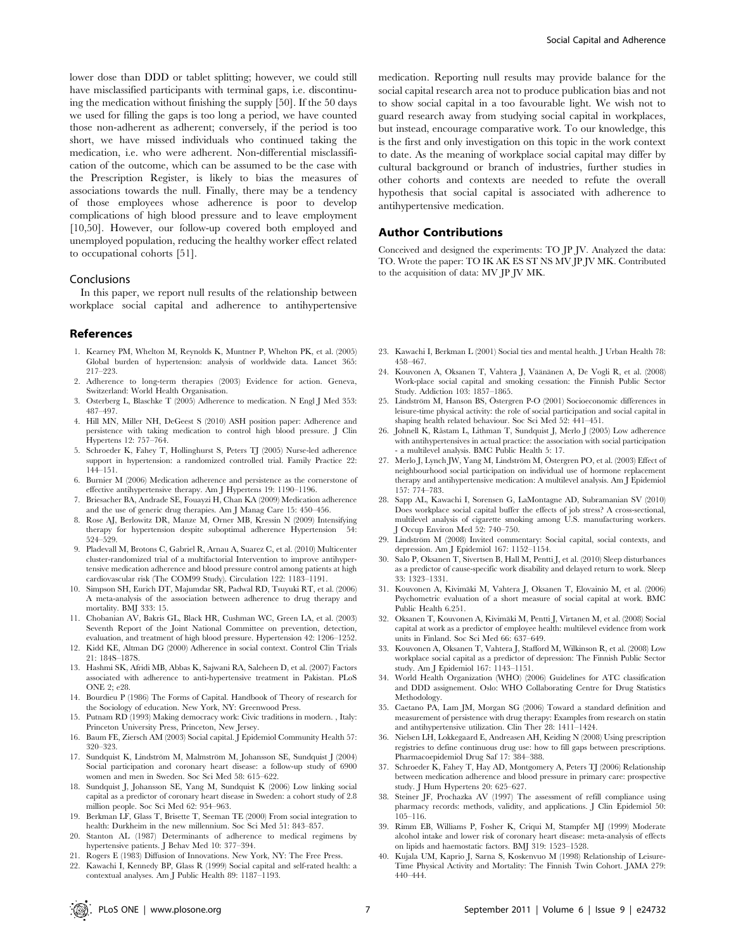lower dose than DDD or tablet splitting; however, we could still have misclassified participants with terminal gaps, i.e. discontinuing the medication without finishing the supply [50]. If the 50 days we used for filling the gaps is too long a period, we have counted those non-adherent as adherent; conversely, if the period is too short, we have missed individuals who continued taking the medication, i.e. who were adherent. Non-differential misclassification of the outcome, which can be assumed to be the case with the Prescription Register, is likely to bias the measures of associations towards the null. Finally, there may be a tendency of those employees whose adherence is poor to develop complications of high blood pressure and to leave employment [10,50]. However, our follow-up covered both employed and unemployed population, reducing the healthy worker effect related to occupational cohorts [51].

#### Conclusions

In this paper, we report null results of the relationship between workplace social capital and adherence to antihypertensive

#### References

- 1. Kearney PM, Whelton M, Reynolds K, Muntner P, Whelton PK, et al. (2005) Global burden of hypertension: analysis of worldwide data. Lancet 365: 217–223.
- 2. Adherence to long-term therapies (2003) Evidence for action. Geneva, Switzerland: World Health Organisation.
- 3. Osterberg L, Blaschke T (2005) Adherence to medication. N Engl J Med 353: 487–497.
- 4. Hill MN, Miller NH, DeGeest S (2010) ASH position paper: Adherence and persistence with taking medication to control high blood pressure. J Clin Hypertens 12: 757–764.
- 5. Schroeder K, Fahey T, Hollinghurst S, Peters TJ (2005) Nurse-led adherence support in hypertension: a randomized controlled trial. Family Practice 22: 144–151.
- 6. Burnier M (2006) Medication adherence and persistence as the cornerstone of effective antihypertensive therapy. Am J Hypertens 19: 1190–1196.
- 7. Briesacher BA, Andrade SE, Fouayzi H, Chan KA (2009) Medication adherence and the use of generic drug therapies. Am J Manag Care 15: 450–456.
- 8. Rose AJ, Berlowitz DR, Manze M, Orner MB, Kressin N (2009) Intensifying therapy for hypertension despite suboptimal adherence Hypertension 54: 524–529.
- 9. Pladevall M, Brotons C, Gabriel R, Arnau A, Suarez C, et al. (2010) Multicenter cluster-randomized trial of a multifactorial Intervention to improve antihypertensive medication adherence and blood pressure control among patients at high cardiovascular risk (The COM99 Study). Circulation 122: 1183–1191.
- 10. Simpson SH, Eurich DT, Majumdar SR, Padwal RD, Tsuyuki RT, et al. (2006) A meta-analysis of the association between adherence to drug therapy and mortality. BMJ 333: 15.
- 11. Chobanian AV, Bakris GL, Black HR, Cushman WC, Green LA, et al. (2003) Seventh Report of the Joint National Committee on prevention, detection, evaluation, and treatment of high blood pressure. Hypertension 42: 1206–1252.
- 12. Kidd KE, Altman DG (2000) Adherence in social context. Control Clin Trials 21: 184S–187S.
- 13. Hashmi SK, Afridi MB, Abbas K, Sajwani RA, Saleheen D, et al. (2007) Factors associated with adherence to anti-hypertensive treatment in Pakistan. PLoS ONE 2; e28.
- 14. Bourdieu P (1986) The Forms of Capital. Handbook of Theory of research for the Sociology of education. New York, NY: Greenwood Press.
- 15. Putnam RD (1993) Making democracy work: Civic traditions in modern. , Italy: Princeton University Press, Princeton, New Jersey.
- 16. Baum FE, Ziersch AM (2003) Social capital. J Epidemiol Community Health 57: 320–323.
- 17. Sundquist K, Lindström M, Malmström M, Johansson SE, Sundquist J (2004) Social participation and coronary heart disease: a follow-up study of 6900 women and men in Sweden. Soc Sci Med 58: 615–622.
- 18. Sundquist J, Johansson SE, Yang M, Sundquist K (2006) Low linking social capital as a predictor of coronary heart disease in Sweden: a cohort study of 2.8 million people. Soc Sci Med 62: 954–963.
- 19. Berkman LF, Glass T, Brisette T, Seeman TE (2000) From social integration to health: Durkheim in the new millennium. Soc Sci Med 51: 843–857.
- 20. Stanton AL (1987) Determinants of adherence to medical regimens by hypertensive patients. J Behav Med 10: 377–394.
- 21. Rogers E (1983) Diffusion of Innovations. New York, NY: The Free Press.
- 22. Kawachi I, Kennedy BP, Glass R (1999) Social capital and self-rated health: a contextual analyses. Am J Public Health 89: 1187–1193.

medication. Reporting null results may provide balance for the social capital research area not to produce publication bias and not to show social capital in a too favourable light. We wish not to guard research away from studying social capital in workplaces, but instead, encourage comparative work. To our knowledge, this is the first and only investigation on this topic in the work context to date. As the meaning of workplace social capital may differ by cultural background or branch of industries, further studies in other cohorts and contexts are needed to refute the overall hypothesis that social capital is associated with adherence to antihypertensive medication.

#### Author Contributions

Conceived and designed the experiments: TO JP JV. Analyzed the data: TO. Wrote the paper: TO IK AK ES ST NS MV JP JV MK. Contributed to the acquisition of data: MV JP JV MK.

- 23. Kawachi I, Berkman L (2001) Social ties and mental health. J Urban Health 78: 458–467.
- 24. Kouvonen A, Oksanen T, Vahtera J, Väänänen A, De Vogli R, et al. (2008) Work-place social capital and smoking cessation: the Finnish Public Sector Study. Addiction 103: 1857–1865.
- 25. Lindström M, Hanson BS, Östergren P-O (2001) Socioeconomic differences in leisure-time physical activity: the role of social participation and social capital in shaping health related behaviour. Soc Sci Med 52: 441–451.
- 26. Johnell K, Råstam L, Lithman T, Sundquist J, Merlo J (2005) Low adherence with antihypertensives in actual practice: the association with social participation - a multilevel analysis. BMC Public Health 5: 17.
- 27. Merlo J, Lynch JW, Yang M, Lindström M, Östergren PO, et al. (2003) Effect of neighbourhood social participation on individual use of hormone replacement therapy and antihypertensive medication: A multilevel analysis. Am J Epidemiol 157: 774–783.
- 28. Sapp AL, Kawachi I, Sorensen G, LaMontagne AD, Subramanian SV (2010) Does workplace social capital buffer the effects of job stress? A cross-sectional, multilevel analysis of cigarette smoking among U.S. manufacturing workers. J Occup Environ Med 52: 740–750.
- 29. Lindström M (2008) Invited commentary: Social capital, social contexts, and depression. Am J Epidemiol 167: 1152–1154.
- 30. Salo P, Oksanen T, Sivertsen B, Hall M, Pentti J, et al. (2010) Sleep disturbances as a predictor of cause-specific work disability and delayed return to work. Sleep 33: 1323–1331.
- 31. Kouvonen A, Kivimäki M, Vahtera J, Oksanen T, Elovainio M, et al. (2006) Psychometric evaluation of a short measure of social capital at work. BMC Public Health 6.251.
- 32. Oksanen T, Kouvonen A, Kivimäki M, Pentti J, Virtanen M, et al. (2008) Social capital at work as a predictor of employee health: multilevel evidence from work units in Finland. Soc Sci Med 66: 637–649.
- 33. Kouvonen A, Oksanen T, Vahtera J, Stafford M, Wilkinson R, et al. (2008) Low workplace social capital as a predictor of depression: The Finnish Public Sector study. Am J Epidemiol 167: 1143–1151.
- 34. World Health Organization (WHO) (2006) Guidelines for ATC classification and DDD assignement. Oslo: WHO Collaborating Centre for Drug Statistics Methodology.
- 35. Caetano PA, Lam JM, Morgan SG (2006) Toward a standard definition and measurement of persistence with drug therapy: Examples from research on statin and antihypertensive utilization. Clin Ther 28: 1411–1424.
- 36. Nielsen LH, Lokkegaard E, Andreasen AH, Keiding N (2008) Using prescription registries to define continuous drug use: how to fill gaps between prescriptions. Pharmacoepidemiol Drug Saf 17: 384–388.
- 37. Schroeder K, Fahey T, Hay AD, Montgomery A, Peters TJ (2006) Relationship between medication adherence and blood pressure in primary care: prospective study. J Hum Hypertens 20: 625–627.
- 38. Steiner JF, Prochazka AV (1997) The assessment of refill compliance using pharmacy records: methods, validity, and applications. J Clin Epidemiol 50: 105–116.
- 39. Rimm EB, Williams P, Fosher K, Criqui M, Stampfer MJ (1999) Moderate alcohol intake and lower risk of coronary heart disease: meta-analysis of effects on lipids and haemostatic factors. BMJ 319: 1523–1528.
- 40. Kujala UM, Kaprio J, Sarna S, Koskenvuo M (1998) Relationship of Leisure-Time Physical Activity and Mortality: The Finnish Twin Cohort. JAMA 279: 440–444.